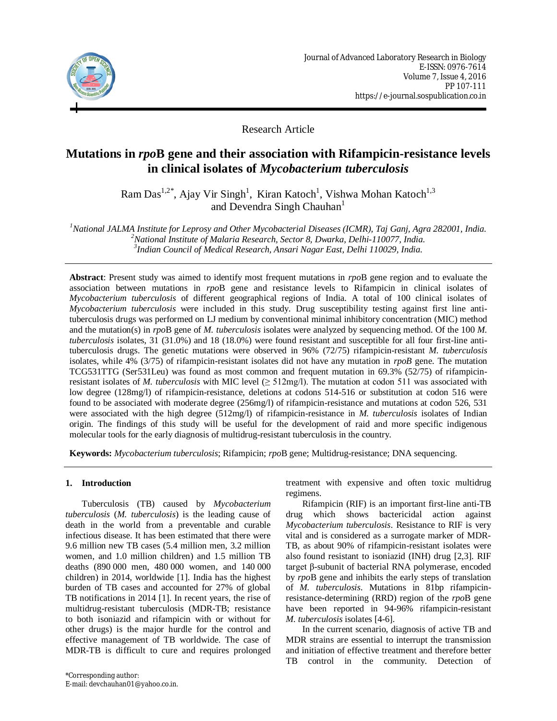

Research Article

# **Mutations in** *rpo***B gene and their association with Rifampicin-resistance levels in clinical isolates of** *Mycobacterium tuberculosis*

Ram Das<sup>1,2\*</sup>, Ajay Vir Singh<sup>1</sup>, Kiran Katoch<sup>1</sup>, Vishwa Mohan Katoch<sup>1,3</sup> and Devendra Singh Chauhan<sup>1</sup>

*<sup>1</sup>National JALMA Institute for Leprosy and Other Mycobacterial Diseases (ICMR), Taj Ganj, Agra 282001, India. <sup>2</sup>National Institute of Malaria Research, Sector 8, Dwarka, Delhi-110077, India. 3 Indian Council of Medical Research, Ansari Nagar East, Delhi 110029, India.*

**Abstract**: Present study was aimed to identify most frequent mutations in *rpo*B gene region and to evaluate the association between mutations in *rpo*B gene and resistance levels to Rifampicin in clinical isolates of *Mycobacterium tuberculosis* of different geographical regions of India. A total of 100 clinical isolates of *Mycobacterium tuberculosis* were included in this study. Drug susceptibility testing against first line antituberculosis drugs was performed on LJ medium by conventional minimal inhibitory concentration (MIC) method and the mutation(s) in *rpo*B gene of *M. tuberculosis* isolates were analyzed by sequencing method. Of the 100 *M. tuberculosis* isolates, 31 (31.0%) and 18 (18.0%) were found resistant and susceptible for all four first-line antituberculosis drugs. The genetic mutations were observed in 96% (72/75) rifampicin-resistant *M. tuberculosis* isolates, while 4% (3/75) of rifampicin-resistant isolates did not have any mutation in *rpoB* gene. The mutation TCG531TTG (Ser531Leu) was found as most common and frequent mutation in 69.3% (52/75) of rifampicinresistant isolates of *M. tuberculosis* with MIC level  $( \geq 512 \text{mg/l})$ . The mutation at codon 511 was associated with low degree (128mg/l) of rifampicin-resistance, deletions at codons 514-516 or substitution at codon 516 were found to be associated with moderate degree (256mg/l) of rifampicin-resistance and mutations at codon 526, 531 were associated with the high degree (512mg/l) of rifampicin-resistance in *M. tuberculosis* isolates of Indian origin*.* The findings of this study will be useful for the development of raid and more specific indigenous molecular tools for the early diagnosis of multidrug-resistant tuberculosis in the country.

**Keywords:** *Mycobacterium tuberculosis*; Rifampicin; *rpo*B gene; Multidrug-resistance; DNA sequencing.

### **1. Introduction**

Tuberculosis (TB) caused by *Mycobacterium tuberculosis* (*M. tuberculosis*) is the leading cause of death in the world from a preventable and curable infectious disease. It has been estimated that there were 9.6 million new TB cases (5.4 million men, 3.2 million women, and 1.0 million children) and 1.5 million TB deaths (890 000 men, 480 000 women, and 140 000 children) in 2014, worldwide [1]. India has the highest burden of TB cases and accounted for 27% of global TB notifications in 2014 [1]. In recent years, the rise of multidrug-resistant tuberculosis (MDR-TB; resistance to both isoniazid and rifampicin with or without for other drugs) is the major hurdle for the control and effective management of TB worldwide. The case of MDR-TB is difficult to cure and requires prolonged

treatment with expensive and often toxic multidrug regimens.

Rifampicin (RIF) is an important first-line anti-TB drug which shows bactericidal action against *Mycobacterium tuberculosis*. Resistance to RIF is very vital and is considered as a surrogate marker of MDR-TB, as about 90% of rifampicin-resistant isolates were also found resistant to isoniazid (INH) drug [2,3]. RIF target β-subunit of bacterial RNA polymerase, encoded by *rpo*B gene and inhibits the early steps of translation of *M. tuberculosis*. Mutations in 81bp rifampicinresistance-determining (RRD) region of the *rpo*B gene have been reported in 94-96% rifampicin-resistant *M. tuberculosis* isolates [4-6].

In the current scenario, diagnosis of active TB and MDR strains are essential to interrupt the transmission and initiation of effective treatment and therefore better TB control in the community. Detection of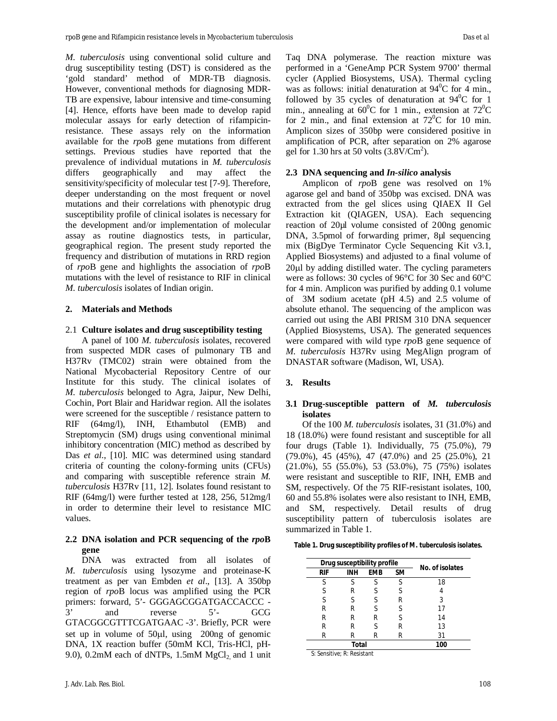*M. tuberculosis* using conventional solid culture and drug susceptibility testing (DST) is considered as the 'gold standard' method of MDR-TB diagnosis. However, conventional methods for diagnosing MDR-TB are expensive, labour intensive and time-consuming [4]. Hence, efforts have been made to develop rapid molecular assays for early detection of rifampicinresistance. These assays rely on the information available for the *rpo*B gene mutations from different settings. Previous studies have reported that the prevalence of individual mutations in *M. tuberculosis*  differs geographically and may affect the sensitivity/specificity of molecular test [7-9]. Therefore, deeper understanding on the most frequent or novel mutations and their correlations with phenotypic drug susceptibility profile of clinical isolates is necessary for the development and/or implementation of molecular assay as routine diagnostics tests, in particular, geographical region. The present study reported the frequency and distribution of mutations in RRD region of *rpo*B gene and highlights the association of *rpo*B mutations with the level of resistance to RIF in clinical *M. tuberculosis* isolates of Indian origin.

### **2. Materials and Methods**

#### 2.1 **Culture isolates and drug susceptibility testing**

A panel of 100 *M. tuberculosis* isolates, recovered from suspected MDR cases of pulmonary TB and H37Rv (TMC02) strain were obtained from the National Mycobacterial Repository Centre of our Institute for this study. The clinical isolates of *M. tuberculosis* belonged to Agra, Jaipur, New Delhi, Cochin, Port Blair and Haridwar region. All the isolates were screened for the susceptible / resistance pattern to RIF (64mg/l), INH, Ethambutol (EMB) and Streptomycin (SM) drugs using conventional minimal inhibitory concentration (MIC) method as described by Das *et al*., [10]. MIC was determined using standard criteria of counting the colony-forming units (CFUs) and comparing with susceptible reference strain *M. tuberculosis* H37Rv [11, 12]. Isolates found resistant to RIF (64mg/l) were further tested at 128, 256, 512mg/l in order to determine their level to resistance MIC values.

# **2.2 DNA isolation and PCR sequencing of the** *rpo***B gene**

DNA was extracted from all isolates of *M. tuberculosis* using lysozyme and proteinase-K treatment as per van Embden *et al*., [13]. A 350bp region of *rpo*B locus was amplified using the PCR primers: forward, 5'- GGGAGCGGATGACCACCC - 3' and reverse 5'- GCG GTACGGCGTTTCGATGAAC -3'. Briefly, PCR were set up in volume of  $50\mu l$ , using  $200$ ng of genomic DNA, 1X reaction buffer (50mM KCl, Tris-HCl, pH-9.0), 0.2mM each of dNTPs, 1.5mM  $MgCl<sub>2</sub>$  and 1 unit performed in a 'GeneAmp PCR System 9700' thermal cycler (Applied Biosystems, USA). Thermal cycling was as follows: initial denaturation at  $94^{\circ}$ C for 4 min., followed by 35 cycles of denaturation at  $94^{\circ}$ C for 1 min., annealing at  $60^{\circ}$ C for 1 min., extension at  $72^{\circ}$ C for 2 min., and final extension at  $72^{\circ}$ C for 10 min. Amplicon sizes of 350bp were considered positive in amplification of PCR, after separation on 2% agarose gel for  $1.30$  hrs at 50 volts  $(3.8 \text{V}/\text{Cm}^2)$ .

### **2.3 DNA sequencing and** *In-silico* **analysis**

Amplicon of *rpo*B gene was resolved on 1% agarose gel and band of 350bp was excised. DNA was extracted from the gel slices using QIAEX II Gel Extraction kit (QIAGEN, USA). Each sequencing reaction of 20µl volume consisted of 200ng genomic DNA, 3.5pmol of forwarding primer, 8µl sequencing mix (BigDye Terminator Cycle Sequencing Kit v3.1, Applied Biosystems) and adjusted to a final volume of  $20\mu$ l by adding distilled water. The cycling parameters were as follows: 30 cycles of 96°C for 30 Sec and 60°C for 4 min. Amplicon was purified by adding 0.1 volume of 3M sodium acetate (pH 4.5) and 2.5 volume of absolute ethanol. The sequencing of the amplicon was carried out using the ABI PRISM 310 DNA sequencer (Applied Biosystems, USA). The generated sequences were compared with wild type *rpo*B gene sequence of *M. tuberculosis* H37Rv using MegAlign program of DNASTAR software (Madison, WI, USA).

### **3. Results**

### **3.1 Drug-susceptible pattern of** *M. tuberculosis* **isolates**

Of the 100 *M. tuberculosis* isolates, 31 (31.0%) and 18 (18.0%) were found resistant and susceptible for all four drugs (Table 1). Individually, 75 (75.0%), 79 (79.0%), 45 (45%), 47 (47.0%) and 25 (25.0%), 21 (21.0%), 55 (55.0%), 53 (53.0%), 75 (75%) isolates were resistant and susceptible to RIF, INH, EMB and SM, respectively. Of the 75 RIF-resistant isolates, 100, 60 and 55.8% isolates were also resistant to INH, EMB, and SM, respectively. Detail results of drug susceptibility pattern of tuberculosis isolates are summarized in Table 1.

|                           | Drug susceptibility profile | No. of isolates |    |    |  |  |
|---------------------------|-----------------------------|-----------------|----|----|--|--|
| RIF                       | <b>INH</b>                  | <b>EMB</b>      | SM |    |  |  |
| S                         |                             |                 | ς  | 18 |  |  |
| S                         | R                           | ς               | ς  |    |  |  |
| S                         | S                           | S               | R  | 3  |  |  |
| R                         | R                           |                 | ς  | 17 |  |  |
| R                         | R                           | R               | ς  | 14 |  |  |
| R                         | R                           |                 | R  | 13 |  |  |
| R                         | R                           | R               | R  | 31 |  |  |
| $\cdots$<br>$\sim$ $\sim$ | Total<br>.                  | 100             |    |    |  |  |

S: Sensitive; R: Resistant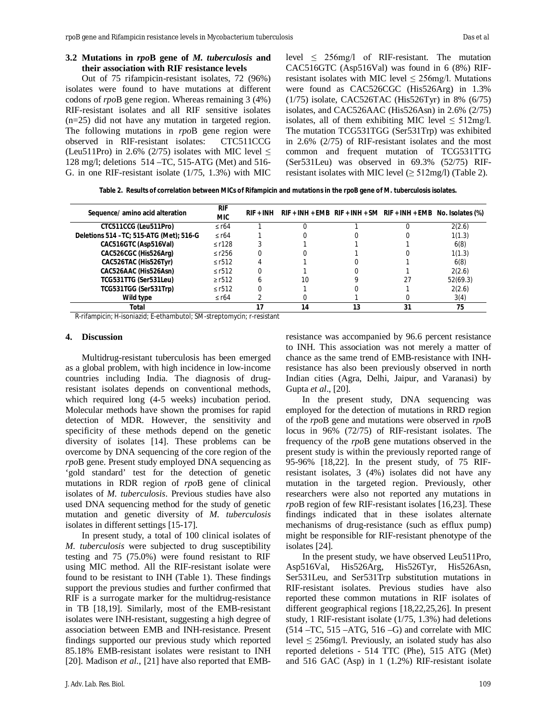## **3.2 Mutations in** *rpo***B gene of** *M. tuberculosis* **and their association with RIF resistance levels**

Out of 75 rifampicin-resistant isolates, 72 (96%) isolates were found to have mutations at different codons of *rpo*B gene region. Whereas remaining 3 (4%) RIF-resistant isolates and all RIF sensitive isolates (n=25) did not have any mutation in targeted region. The following mutations in *rpo*B gene region were observed in RIF-resistant isolates: CTC511CCG (Leu511Pro) in 2.6% (2/75) isolates with MIC level  $\leq$ 128 mg/l; deletions 514 –TC, 515-ATG (Met) and 516- G. in one RIF-resistant isolate (1/75, 1.3%) with MIC level  $\leq$  256mg/l of RIF-resistant. The mutation CAC516GTC (Asp516Val) was found in 6 (8%) RIFresistant isolates with MIC level  $\leq$  256mg/l. Mutations were found as CAC526CGC (His526Arg) in 1.3% (1/75) isolate, CAC526TAC (His526Tyr) in 8% (6/75) isolates, and CAC526AAC (His526Asn) in 2.6% (2/75) isolates, all of them exhibiting MIC level  $\leq$  512mg/l. The mutation TCG531TGG (Ser531Trp) was exhibited in 2.6% (2/75) of RIF-resistant isolates and the most common and frequent mutation of TCG531TTG (Ser531Leu) was observed in 69.3% (52/75) RIFresistant isolates with MIC level  $(\geq 512 \text{mg/l})$  (Table 2).

**Table 2. Results of correlation between MICs of Rifampicin and mutations in the** *rpo***B gene of** *M. tuberculosis* **isolates.**

| Sequence/ amino acid alteration          | <b>RIF</b><br><b>MIC</b> | RIF + INH | $RIF + INH + EMB$ $RIF + INH + SM$ $RIF + INH + EMB$ No. Isolates (%) |    |    |          |
|------------------------------------------|--------------------------|-----------|-----------------------------------------------------------------------|----|----|----------|
| CTC511CCG (Leu511Pro)                    | $\leq$ r64               |           |                                                                       |    |    | 2(2.6)   |
| Deletions 514 - TC; 515-ATG (Met); 516-G | $\le$ r64                |           |                                                                       |    |    | 1(1.3)   |
| CAC516GTC (Asp516Val)                    | $\leq$ r128              |           |                                                                       |    |    | 6(8)     |
| CAC526CGC (His526Arg)                    | $\leq$ r256              |           |                                                                       |    |    | 1(1.3)   |
| CAC526TAC (His526Tyr)                    | $\le$ r512               |           |                                                                       |    |    | 6(8)     |
| CAC526AAC (His526Asn)                    | $\le$ r512               |           |                                                                       |    |    | 2(2.6)   |
| TCG531TTG (Ser531Leu)                    | $\ge$ r512               |           | 10                                                                    |    | 27 | 52(69.3) |
| TCG531TGG (Ser531Trp)                    | $\le$ r512               |           |                                                                       |    |    | 2(2.6)   |
| Wild type                                | $\leq$ r64               |           |                                                                       |    |    | 3(4)     |
| Total                                    |                          |           | 14                                                                    | 13 | 31 | 75       |

R-rifampicin; H-isoniazid; E-ethambutol; SM-streptomycin; r-resistant

#### **4. Discussion**

Multidrug-resistant tuberculosis has been emerged as a global problem, with high incidence in low-income countries including India. The diagnosis of drugresistant isolates depends on conventional methods, which required long (4-5 weeks) incubation period. Molecular methods have shown the promises for rapid detection of MDR. However, the sensitivity and specificity of these methods depend on the genetic diversity of isolates [14]. These problems can be overcome by DNA sequencing of the core region of the *rpo*B gene. Present study employed DNA sequencing as 'gold standard' test for the detection of genetic mutations in RDR region of *rpo*B gene of clinical isolates of *M. tuberculosis*. Previous studies have also used DNA sequencing method for the study of genetic mutation and genetic diversity of *M. tuberculosis* isolates in different settings [15-17].

In present study, a total of 100 clinical isolates of *M. tuberculosis* were subjected to drug susceptibility testing and 75 (75.0%) were found resistant to RIF using MIC method. All the RIF-resistant isolate were found to be resistant to INH (Table 1). These findings support the previous studies and further confirmed that RIF is a surrogate marker for the multidrug-resistance in TB [18,19]. Similarly, most of the EMB-resistant isolates were INH-resistant, suggesting a high degree of association between EMB and INH-resistance. Present findings supported our previous study which reported 85.18% EMB-resistant isolates were resistant to INH [20]. Madison *et al*., [21] have also reported that EMB-

resistance was accompanied by 96.6 percent resistance to INH. This association was not merely a matter of chance as the same trend of EMB-resistance with INHresistance has also been previously observed in north Indian cities (Agra, Delhi, Jaipur, and Varanasi) by Gupta *et al*., [20].

In the present study, DNA sequencing was employed for the detection of mutations in RRD region of the *rpo*B gene and mutations were observed in *rpo*B locus in 96% (72/75) of RIF-resistant isolates. The frequency of the *rpo*B gene mutations observed in the present study is within the previously reported range of 95-96% [18,22]. In the present study, of 75 RIFresistant isolates, 3 (4%) isolates did not have any mutation in the targeted region. Previously, other researchers were also not reported any mutations in *rpo*B region of few RIF-resistant isolates [16,23]. These findings indicated that in these isolates alternate mechanisms of drug-resistance (such as efflux pump) might be responsible for RIF-resistant phenotype of the isolates [24].

In the present study, we have observed Leu511Pro, Asp516Val, His526Arg, His526Tyr, His526Asn, Ser531Leu, and Ser531Trp substitution mutations in RIF-resistant isolates. Previous studies have also reported these common mutations in RIF isolates of different geographical regions [18,22,25,26]. In present study, 1 RIF-resistant isolate (1/75, 1.3%) had deletions (514 –TC, 515 –ATG, 516 –G) and correlate with MIC level  $\leq$  256mg/l. Previously, an isolated study has also reported deletions - 514 TTC (Phe), 515 ATG (Met) and 516 GAC (Asp) in 1 (1.2%) RIF-resistant isolate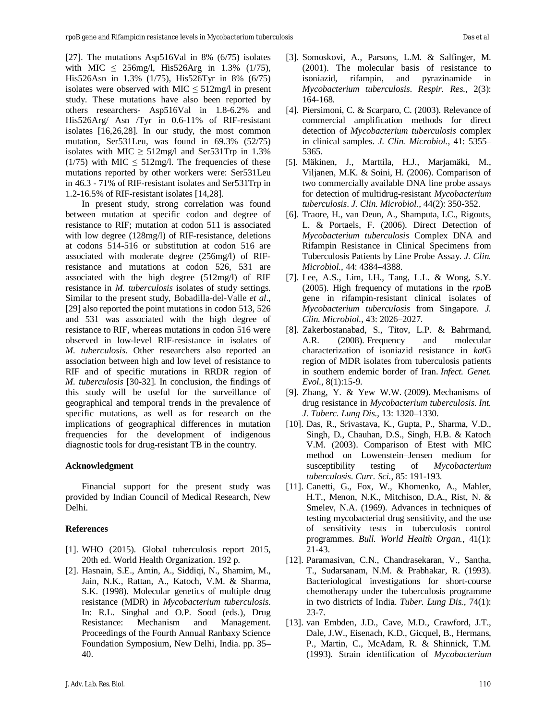[27]. The mutations Asp516Val in 8% (6/75) isolates with MIC  $\leq$  256mg/l, His526Arg in 1.3% (1/75), His526Asn in 1.3% (1/75), His526Tyr in 8% (6/75) isolates were observed with MIC  $\leq$  512mg/l in present study. These mutations have also been reported by others researchers- Asp516Val in 1.8-6.2% and His526Arg/ Asn /Tyr in 0.6-11% of RIF-resistant isolates [16,26,28]. In our study, the most common mutation, Ser531Leu, was found in 69.3% (52/75) isolates with MIC  $\geq$  512mg/l and Ser531Trp in 1.3% (1/75) with MIC  $\leq$  512mg/l. The frequencies of these mutations reported by other workers were: Ser531Leu in 46.3 - 71% of RIF-resistant isolates and Ser531Trp in 1.2-16.5% of RIF-resistant isolates [14,28].

In present study, strong correlation was found between mutation at specific codon and degree of resistance to RIF; mutation at codon 511 is associated with low degree (128mg/l) of RIF-resistance, deletions at codons 514-516 or substitution at codon 516 are associated with moderate degree (256mg/l) of RIFresistance and mutations at codon 526, 531 are associated with the high degree (512mg/l) of RIF resistance in *M. tuberculosis* isolates of study settings*.*  Similar to the present study, Bobadilla-del-Valle *et al*., [29] also reported the point mutations in codon 513, 526 and 531 was associated with the high degree of resistance to RIF, whereas mutations in codon 516 were observed in low-level RIF-resistance in isolates of *M. tuberculosis.* Other researchers also reported an association between high and low level of resistance to RIF and of specific mutations in RRDR region of *M. tuberculosis* [30-32]. In conclusion, the findings of this study will be useful for the surveillance of geographical and temporal trends in the prevalence of specific mutations, as well as for research on the implications of geographical differences in mutation frequencies for the development of indigenous diagnostic tools for drug-resistant TB in the country.

### **Acknowledgment**

Financial support for the present study was provided by Indian Council of Medical Research, New Delhi.

### **References**

- [1]. WHO (2015). Global tuberculosis report 2015, 20th ed. World Health Organization. 192 p.
- [2]. Hasnain, S.E., Amin, A., Siddiqi, N., Shamim, M., Jain, N.K., Rattan, A., Katoch, V.M. & Sharma, S.K. (1998). Molecular genetics of multiple drug resistance (MDR) in *Mycobacterium tuberculosis*. In: R.L. Singhal and O.P. Sood (eds.), Drug Resistance: Mechanism and Management. Proceedings of the Fourth Annual Ranbaxy Science Foundation Symposium, New Delhi, India. pp. 35– 40.
- [3]. Somoskovi, A., Parsons, L.M. & Salfinger, M. (2001). The molecular basis of resistance to isoniazid, rifampin, and pyrazinamide in *Mycobacterium tuberculosis*. *Respir. Res.*, 2(3): 164-168.
- [4]. Piersimoni, C. & Scarparo, C. (2003). Relevance of commercial amplification methods for direct detection of *Mycobacterium tuberculosis* complex in clinical samples. *J. Clin. Microbiol.*, 41: 5355– 5365.
- [5]. Mäkinen, J., Marttila, H.J., Marjamäki, M., Viljanen, M.K. & Soini, H. (2006). Comparison of two commercially available DNA line probe assays for detection of multidrug-resistant *Mycobacterium tuberculosis*. *J. Clin. Microbiol.*, 44(2): 350-352.
- [6]. Traore, H., van Deun, A., Shamputa, I.C., Rigouts, L. & Portaels, F. (2006). Direct Detection of *Mycobacterium tuberculosis* Complex DNA and Rifampin Resistance in Clinical Specimens from Tuberculosis Patients by Line Probe Assay. *J. Clin. Microbiol.*, 44: 4384–4388.
- [7]. Lee, A.S., Lim, I.H., Tang, L.L. & Wong, S.Y. (2005). High frequency of mutations in the *rpo*B gene in rifampin-resistant clinical isolates of *Mycobacterium tuberculosis* from Singapore. *J. Clin. Microbiol.*, 43: 2026–2027.
- [8]. Zakerbostanabad, S., Titov, L.P. & Bahrmand, A.R. (2008). Frequency and molecular characterization of isoniazid resistance in *kat*G region of MDR isolates from tuberculosis patients in southern endemic border of Iran. *Infect. Genet. Evol.*, 8(1):15-9.
- [9]. Zhang, Y. & Yew W.W. (2009). Mechanisms of drug resistance in *Mycobacterium tuberculosis*. *Int. J. Tuberc. Lung Dis.*, 13: 1320–1330.
- [10]. Das, R., Srivastava, K., Gupta, P., Sharma, V.D., Singh, D., Chauhan, D.S., Singh, H.B. & Katoch V.M. (2003). Comparison of Etest with MIC method on Lowenstein–Jensen medium for susceptibility testing of *Mycobacterium tuberculosis*. *Curr. Sci.*, 85: 191-193.
- [11]. Canetti, G., Fox, W., Khomenko, A., Mahler, H.T., Menon, N.K., Mitchison, D.A., Rist, N. & Smelev, N.A. (1969). Advances in techniques of testing mycobacterial drug sensitivity, and the use of sensitivity tests in tuberculosis control programmes. *Bull. World Health Organ.*, 41(1): 21-43.
- [12]. Paramasivan, C.N., Chandrasekaran, V., Santha, T., Sudarsanam, N.M. & Prabhakar, R. (1993). Bacteriological investigations for short-course chemotherapy under the tuberculosis programme in two districts of India. *Tuber. Lung Dis.*, 74(1): 23-7.
- [13]. van Embden, J.D., Cave, M.D., Crawford, J.T., Dale, J.W., Eisenach, K.D., Gicquel, B., Hermans, P., Martin, C., McAdam, R. & Shinnick, T.M. (1993). Strain identification of *Mycobacterium*